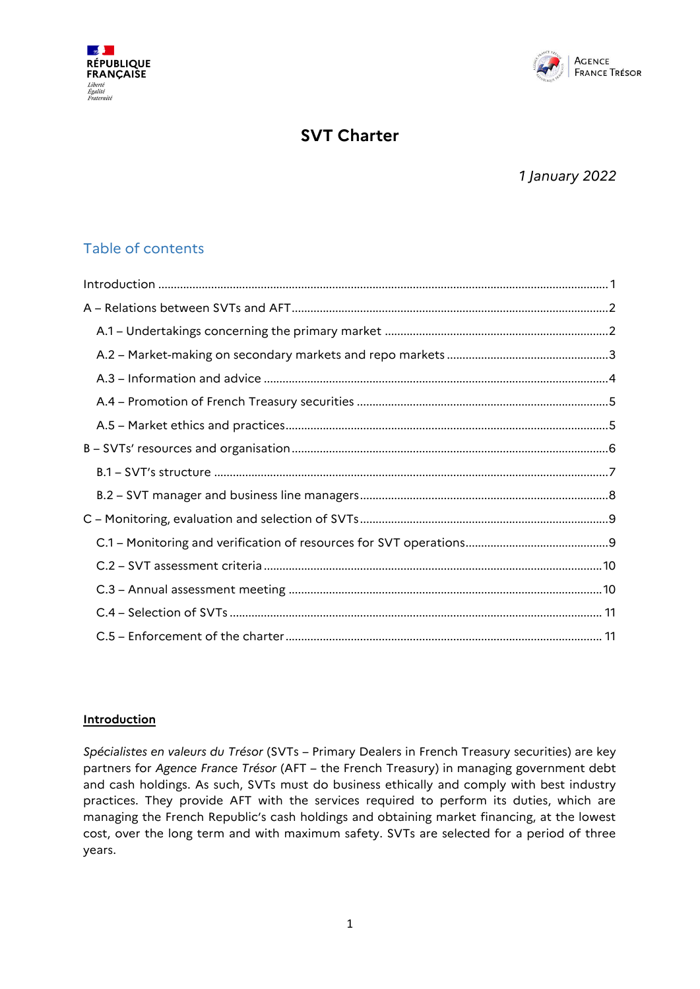



# **SVT Charter**

# *1 January 2022*

# Table of contents

# <span id="page-0-0"></span>**Introduction**

*Spécialistes en valeurs du Trésor* (SVTs – Primary Dealers in French Treasury securities) are key partners for *Agence France Trésor* (AFT – the French Treasury) in managing government debt and cash holdings. As such, SVTs must do business ethically and comply with best industry practices. They provide AFT with the services required to perform its duties, which are managing the French Republic's cash holdings and obtaining market financing, at the lowest cost, over the long term and with maximum safety. SVTs are selected for a period of three years.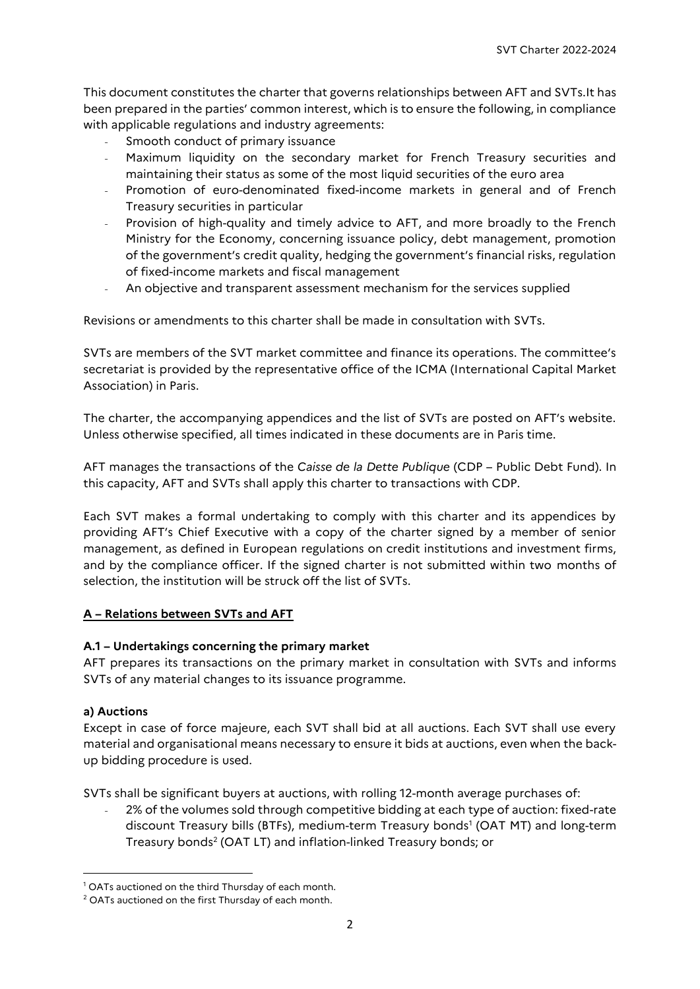This document constitutes the charter that governs relationships between AFT and SVTs.It has been prepared in the parties' common interest, which is to ensure the following, in compliance with applicable regulations and industry agreements:

- Smooth conduct of primary issuance
- Maximum liquidity on the secondary market for French Treasury securities and maintaining their status as some of the most liquid securities of the euro area
- Promotion of euro-denominated fixed-income markets in general and of French Treasury securities in particular
- Provision of high-quality and timely advice to AFT, and more broadly to the French Ministry for the Economy, concerning issuance policy, debt management, promotion of the government's credit quality, hedging the government's financial risks, regulation of fixed-income markets and fiscal management
- An objective and transparent assessment mechanism for the services supplied

Revisions or amendments to this charter shall be made in consultation with SVTs.

SVTs are members of the SVT market committee and finance its operations. The committee's secretariat is provided by the representative office of the ICMA (International Capital Market Association) in Paris.

The charter, the accompanying appendices and the list of SVTs are posted on AFT's website. Unless otherwise specified, all times indicated in these documents are in Paris time.

AFT manages the transactions of the *Caisse de la Dette Publique* (CDP – Public Debt Fund). In this capacity, AFT and SVTs shall apply this charter to transactions with CDP.

Each SVT makes a formal undertaking to comply with this charter and its appendices by providing AFT's Chief Executive with a copy of the charter signed by a member of senior management, as defined in European regulations on credit institutions and investment firms, and by the compliance officer. If the signed charter is not submitted within two months of selection, the institution will be struck off the list of SVTs.

# <span id="page-1-0"></span>**A – Relations between SVTs and AFT**

# <span id="page-1-1"></span>**A.1 – Undertakings concerning the primary market**

AFT prepares its transactions on the primary market in consultation with SVTs and informs SVTs of any material changes to its issuance programme.

# **a) Auctions**

 $\overline{\phantom{a}}$ 

Except in case of force majeure, each SVT shall bid at all auctions. Each SVT shall use every material and organisational means necessary to ensure it bids at auctions, even when the backup bidding procedure is used.

SVTs shall be significant buyers at auctions, with rolling 12-month average purchases of:

2% of the volumes sold through competitive bidding at each type of auction: fixed-rate discount Treasury bills (BTFs), medium-term Treasury bonds<sup>1</sup> (OAT MT) and long-term Treasury bonds<sup>2</sup> (OAT LT) and inflation-linked Treasury bonds; or

<sup>&</sup>lt;sup>1</sup> OATs auctioned on the third Thursday of each month.

<sup>2</sup> OATs auctioned on the first Thursday of each month.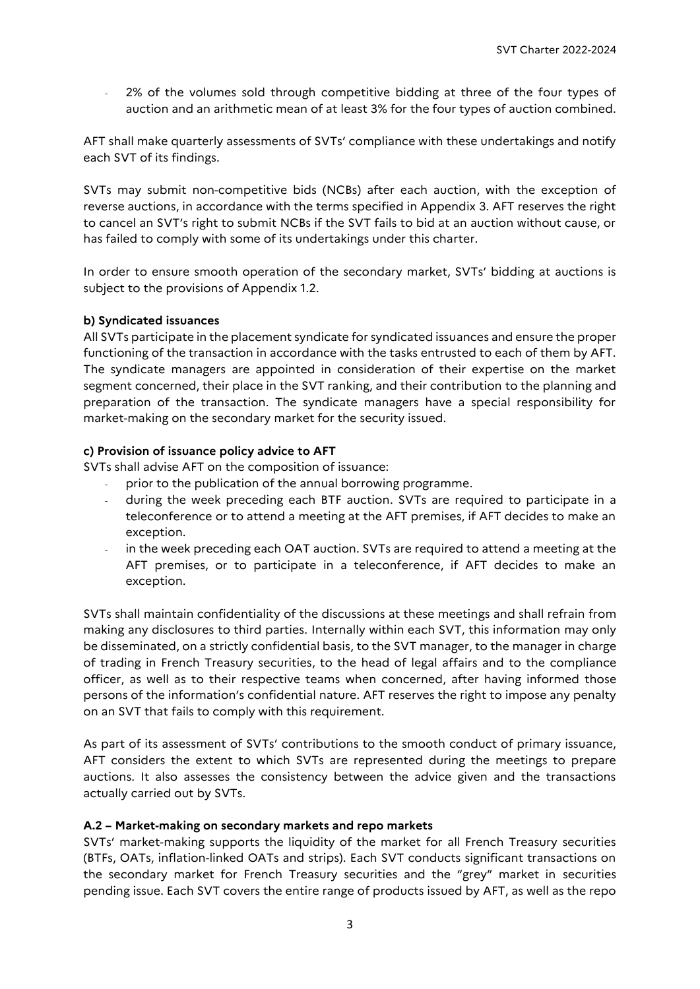- 2% of the volumes sold through competitive bidding at three of the four types of auction and an arithmetic mean of at least 3% for the four types of auction combined.

AFT shall make quarterly assessments of SVTs' compliance with these undertakings and notify each SVT of its findings.

SVTs may submit non-competitive bids (NCBs) after each auction, with the exception of reverse auctions, in accordance with the terms specified in Appendix 3. AFT reserves the right to cancel an SVT's right to submit NCBs if the SVT fails to bid at an auction without cause, or has failed to comply with some of its undertakings under this charter.

In order to ensure smooth operation of the secondary market, SVTs' bidding at auctions is subject to the provisions of Appendix 1.2.

#### **b) Syndicated issuances**

All SVTs participate in the placement syndicate for syndicated issuances and ensure the proper functioning of the transaction in accordance with the tasks entrusted to each of them by AFT. The syndicate managers are appointed in consideration of their expertise on the market segment concerned, their place in the SVT ranking, and their contribution to the planning and preparation of the transaction. The syndicate managers have a special responsibility for market-making on the secondary market for the security issued.

#### **c) Provision of issuance policy advice to AFT**

SVTs shall advise AFT on the composition of issuance:

- prior to the publication of the annual borrowing programme.
- during the week preceding each BTF auction. SVTs are required to participate in a teleconference or to attend a meeting at the AFT premises, if AFT decides to make an exception.
- in the week preceding each OAT auction. SVTs are required to attend a meeting at the AFT premises, or to participate in a teleconference, if AFT decides to make an exception.

SVTs shall maintain confidentiality of the discussions at these meetings and shall refrain from making any disclosures to third parties. Internally within each SVT, this information may only be disseminated, on a strictly confidential basis, to the SVT manager, to the manager in charge of trading in French Treasury securities, to the head of legal affairs and to the compliance officer, as well as to their respective teams when concerned, after having informed those persons of the information's confidential nature. AFT reserves the right to impose any penalty on an SVT that fails to comply with this requirement.

As part of its assessment of SVTs' contributions to the smooth conduct of primary issuance, AFT considers the extent to which SVTs are represented during the meetings to prepare auctions. It also assesses the consistency between the advice given and the transactions actually carried out by SVTs.

#### <span id="page-2-0"></span>**A.2 – Market-making on secondary markets and repo markets**

SVTs' market-making supports the liquidity of the market for all French Treasury securities (BTFs, OATs, inflation-linked OATs and strips). Each SVT conducts significant transactions on the secondary market for French Treasury securities and the "grey" market in securities pending issue. Each SVT covers the entire range of products issued by AFT, as well as the repo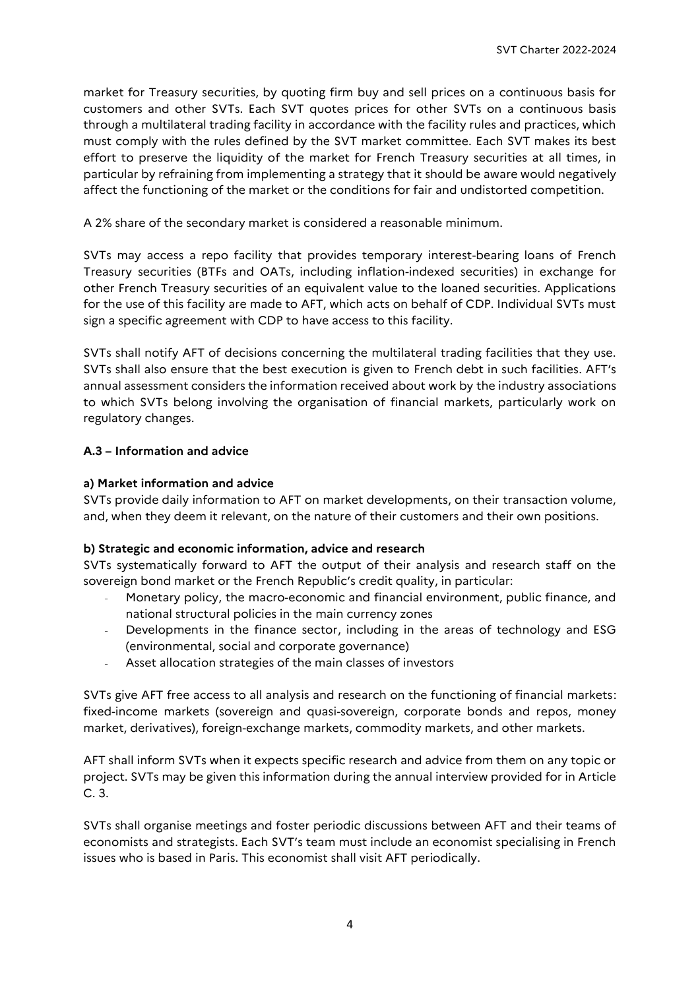market for Treasury securities, by quoting firm buy and sell prices on a continuous basis for customers and other SVTs. Each SVT quotes prices for other SVTs on a continuous basis through a multilateral trading facility in accordance with the facility rules and practices, which must comply with the rules defined by the SVT market committee. Each SVT makes its best effort to preserve the liquidity of the market for French Treasury securities at all times, in particular by refraining from implementing a strategy that it should be aware would negatively affect the functioning of the market or the conditions for fair and undistorted competition.

A 2% share of the secondary market is considered a reasonable minimum.

SVTs may access a repo facility that provides temporary interest-bearing loans of French Treasury securities (BTFs and OATs, including inflation-indexed securities) in exchange for other French Treasury securities of an equivalent value to the loaned securities. Applications for the use of this facility are made to AFT, which acts on behalf of CDP. Individual SVTs must sign a specific agreement with CDP to have access to this facility.

SVTs shall notify AFT of decisions concerning the multilateral trading facilities that they use. SVTs shall also ensure that the best execution is given to French debt in such facilities. AFT's annual assessment considers the information received about work by the industry associations to which SVTs belong involving the organisation of financial markets, particularly work on regulatory changes.

# <span id="page-3-0"></span>**A.3 – Information and advice**

# **a) Market information and advice**

SVTs provide daily information to AFT on market developments, on their transaction volume, and, when they deem it relevant, on the nature of their customers and their own positions.

# **b) Strategic and economic information, advice and research**

SVTs systematically forward to AFT the output of their analysis and research staff on the sovereign bond market or the French Republic's credit quality, in particular:

- Monetary policy, the macro-economic and financial environment, public finance, and national structural policies in the main currency zones
- Developments in the finance sector, including in the areas of technology and ESG (environmental, social and corporate governance)
- Asset allocation strategies of the main classes of investors

SVTs give AFT free access to all analysis and research on the functioning of financial markets: fixed-income markets (sovereign and quasi-sovereign, corporate bonds and repos, money market, derivatives), foreign-exchange markets, commodity markets, and other markets.

AFT shall inform SVTs when it expects specific research and advice from them on any topic or project. SVTs may be given this information during the annual interview provided for in Article C. 3.

SVTs shall organise meetings and foster periodic discussions between AFT and their teams of economists and strategists. Each SVT's team must include an economist specialising in French issues who is based in Paris. This economist shall visit AFT periodically.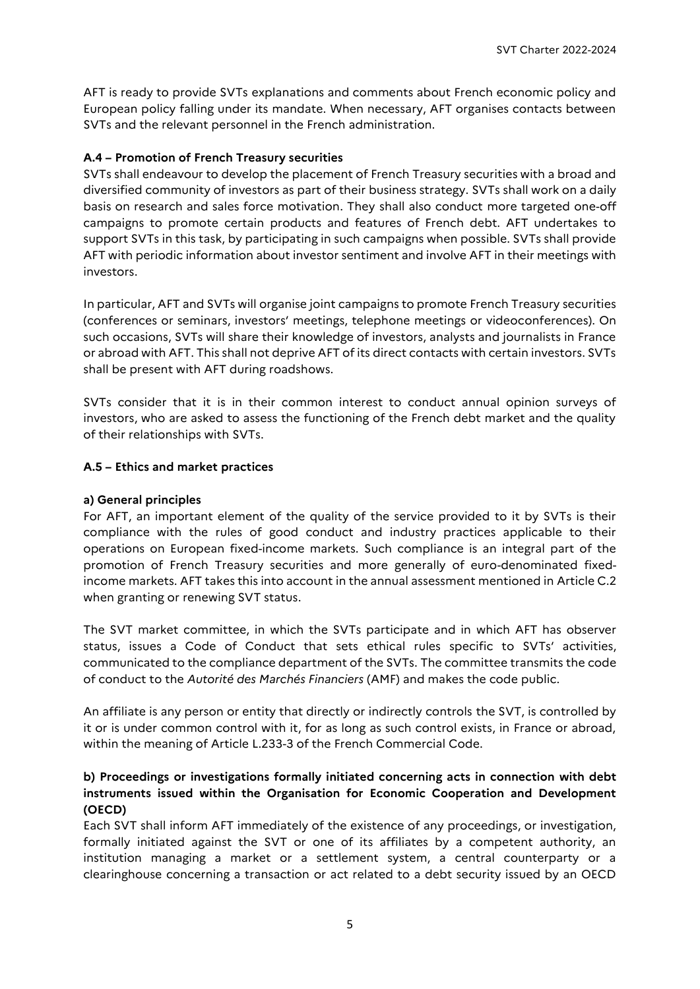AFT is ready to provide SVTs explanations and comments about French economic policy and European policy falling under its mandate. When necessary, AFT organises contacts between SVTs and the relevant personnel in the French administration.

# <span id="page-4-0"></span>**A.4 – Promotion of French Treasury securities**

SVTs shall endeavour to develop the placement of French Treasury securities with a broad and diversified community of investors as part of their business strategy. SVTs shall work on a daily basis on research and sales force motivation. They shall also conduct more targeted one-off campaigns to promote certain products and features of French debt. AFT undertakes to support SVTs in this task, by participating in such campaigns when possible. SVTs shall provide AFT with periodic information about investor sentiment and involve AFT in their meetings with investors.

In particular, AFT and SVTs will organise joint campaigns to promote French Treasury securities (conferences or seminars, investors' meetings, telephone meetings or videoconferences). On such occasions, SVTs will share their knowledge of investors, analysts and journalists in France or abroad with AFT. This shall not deprive AFT of its direct contacts with certain investors. SVTs shall be present with AFT during roadshows.

SVTs consider that it is in their common interest to conduct annual opinion surveys of investors, who are asked to assess the functioning of the French debt market and the quality of their relationships with SVTs.

# <span id="page-4-1"></span>**A.5 – Ethics and market practices**

# **a) General principles**

For AFT, an important element of the quality of the service provided to it by SVTs is their compliance with the rules of good conduct and industry practices applicable to their operations on European fixed-income markets. Such compliance is an integral part of the promotion of French Treasury securities and more generally of euro-denominated fixedincome markets. AFT takes this into account in the annual assessment mentioned in Article C.2 when granting or renewing SVT status.

The SVT market committee, in which the SVTs participate and in which AFT has observer status, issues a Code of Conduct that sets ethical rules specific to SVTs' activities, communicated to the compliance department of the SVTs. The committee transmits the code of conduct to the *Autorité des Marchés Financiers* (AMF) and makes the code public.

An affiliate is any person or entity that directly or indirectly controls the SVT, is controlled by it or is under common control with it, for as long as such control exists, in France or abroad, within the meaning of Article L.233-3 of the French Commercial Code.

# **b) Proceedings or investigations formally initiated concerning acts in connection with debt instruments issued within the Organisation for Economic Cooperation and Development (OECD)**

Each SVT shall inform AFT immediately of the existence of any proceedings, or investigation, formally initiated against the SVT or one of its affiliates by a competent authority, an institution managing a market or a settlement system, a central counterparty or a clearinghouse concerning a transaction or act related to a debt security issued by an OECD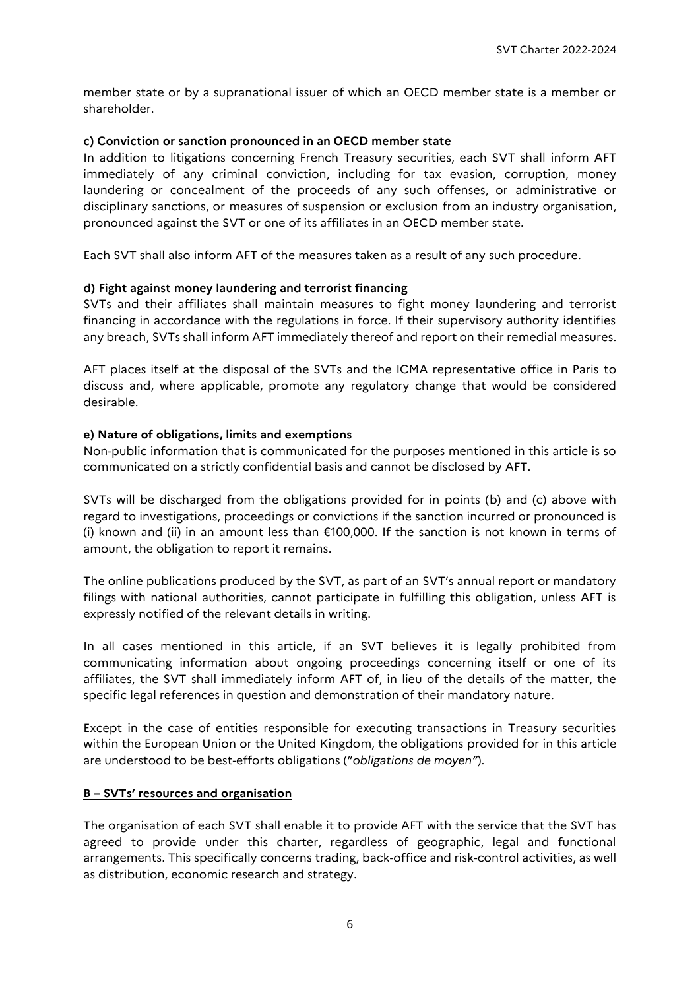member state or by a supranational issuer of which an OECD member state is a member or shareholder.

### **c) Conviction or sanction pronounced in an OECD member state**

In addition to litigations concerning French Treasury securities, each SVT shall inform AFT immediately of any criminal conviction, including for tax evasion, corruption, money laundering or concealment of the proceeds of any such offenses, or administrative or disciplinary sanctions, or measures of suspension or exclusion from an industry organisation, pronounced against the SVT or one of its affiliates in an OECD member state.

Each SVT shall also inform AFT of the measures taken as a result of any such procedure.

#### **d) Fight against money laundering and terrorist financing**

SVTs and their affiliates shall maintain measures to fight money laundering and terrorist financing in accordance with the regulations in force. If their supervisory authority identifies any breach, SVTs shall inform AFT immediately thereof and report on their remedial measures.

AFT places itself at the disposal of the SVTs and the ICMA representative office in Paris to discuss and, where applicable, promote any regulatory change that would be considered desirable.

#### **e) Nature of obligations, limits and exemptions**

Non-public information that is communicated for the purposes mentioned in this article is so communicated on a strictly confidential basis and cannot be disclosed by AFT.

SVTs will be discharged from the obligations provided for in points (b) and (c) above with regard to investigations, proceedings or convictions if the sanction incurred or pronounced is (i) known and (ii) in an amount less than €100,000. If the sanction is not known in terms of amount, the obligation to report it remains.

The online publications produced by the SVT, as part of an SVT's annual report or mandatory filings with national authorities, cannot participate in fulfilling this obligation, unless AFT is expressly notified of the relevant details in writing.

In all cases mentioned in this article, if an SVT believes it is legally prohibited from communicating information about ongoing proceedings concerning itself or one of its affiliates, the SVT shall immediately inform AFT of, in lieu of the details of the matter, the specific legal references in question and demonstration of their mandatory nature.

Except in the case of entities responsible for executing transactions in Treasury securities within the European Union or the United Kingdom, the obligations provided for in this article are understood to be best-efforts obligations ("*obligations de moyen"*).

#### <span id="page-5-0"></span>**B – SVTs' resources and organisation**

The organisation of each SVT shall enable it to provide AFT with the service that the SVT has agreed to provide under this charter, regardless of geographic, legal and functional arrangements. This specifically concerns trading, back-office and risk-control activities, as well as distribution, economic research and strategy.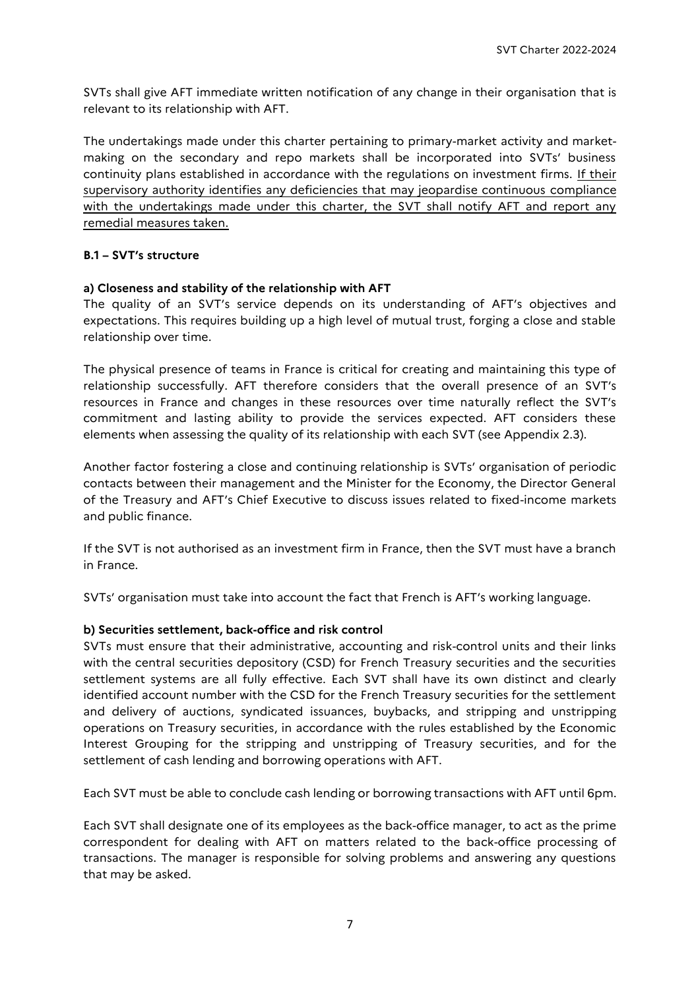SVTs shall give AFT immediate written notification of any change in their organisation that is relevant to its relationship with AFT.

The undertakings made under this charter pertaining to primary-market activity and marketmaking on the secondary and repo markets shall be incorporated into SVTs' business continuity plans established in accordance with the regulations on investment firms. If their supervisory authority identifies any deficiencies that may jeopardise continuous compliance with the undertakings made under this charter, the SVT shall notify AFT and report any remedial measures taken.

# <span id="page-6-0"></span>**B.1 – SVT's structure**

# **a) Closeness and stability of the relationship with AFT**

The quality of an SVT's service depends on its understanding of AFT's objectives and expectations. This requires building up a high level of mutual trust, forging a close and stable relationship over time.

The physical presence of teams in France is critical for creating and maintaining this type of relationship successfully. AFT therefore considers that the overall presence of an SVT's resources in France and changes in these resources over time naturally reflect the SVT's commitment and lasting ability to provide the services expected. AFT considers these elements when assessing the quality of its relationship with each SVT (see Appendix 2.3).

Another factor fostering a close and continuing relationship is SVTs' organisation of periodic contacts between their management and the Minister for the Economy, the Director General of the Treasury and AFT's Chief Executive to discuss issues related to fixed-income markets and public finance.

If the SVT is not authorised as an investment firm in France, then the SVT must have a branch in France.

SVTs' organisation must take into account the fact that French is AFT's working language.

# **b) Securities settlement, back-office and risk control**

SVTs must ensure that their administrative, accounting and risk-control units and their links with the central securities depository (CSD) for French Treasury securities and the securities settlement systems are all fully effective. Each SVT shall have its own distinct and clearly identified account number with the CSD for the French Treasury securities for the settlement and delivery of auctions, syndicated issuances, buybacks, and stripping and unstripping operations on Treasury securities, in accordance with the rules established by the Economic Interest Grouping for the stripping and unstripping of Treasury securities, and for the settlement of cash lending and borrowing operations with AFT.

Each SVT must be able to conclude cash lending or borrowing transactions with AFT until 6pm.

Each SVT shall designate one of its employees as the back-office manager, to act as the prime correspondent for dealing with AFT on matters related to the back-office processing of transactions. The manager is responsible for solving problems and answering any questions that may be asked.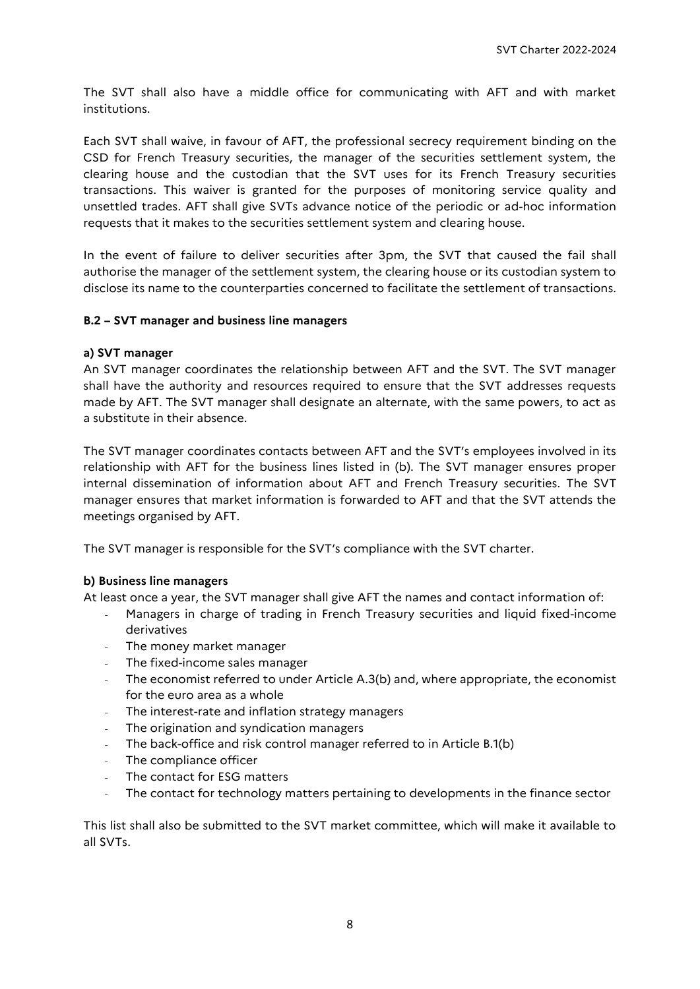The SVT shall also have a middle office for communicating with AFT and with market institutions.

Each SVT shall waive, in favour of AFT, the professional secrecy requirement binding on the CSD for French Treasury securities, the manager of the securities settlement system, the clearing house and the custodian that the SVT uses for its French Treasury securities transactions. This waiver is granted for the purposes of monitoring service quality and unsettled trades. AFT shall give SVTs advance notice of the periodic or ad-hoc information requests that it makes to the securities settlement system and clearing house.

In the event of failure to deliver securities after 3pm, the SVT that caused the fail shall authorise the manager of the settlement system, the clearing house or its custodian system to disclose its name to the counterparties concerned to facilitate the settlement of transactions.

#### <span id="page-7-0"></span>**B.2 – SVT manager and business line managers**

#### **a) SVT manager**

An SVT manager coordinates the relationship between AFT and the SVT. The SVT manager shall have the authority and resources required to ensure that the SVT addresses requests made by AFT. The SVT manager shall designate an alternate, with the same powers, to act as a substitute in their absence.

The SVT manager coordinates contacts between AFT and the SVT's employees involved in its relationship with AFT for the business lines listed in (b). The SVT manager ensures proper internal dissemination of information about AFT and French Treasury securities. The SVT manager ensures that market information is forwarded to AFT and that the SVT attends the meetings organised by AFT.

The SVT manager is responsible for the SVT's compliance with the SVT charter.

#### **b) Business line managers**

At least once a year, the SVT manager shall give AFT the names and contact information of:

- Managers in charge of trading in French Treasury securities and liquid fixed-income derivatives
- The money market manager
- The fixed-income sales manager
- The economist referred to under Article A.3(b) and, where appropriate, the economist for the euro area as a whole
- The interest-rate and inflation strategy managers
- The origination and syndication managers
- The back-office and risk control manager referred to in Article B.1(b)
- The compliance officer
- The contact for ESG matters
- The contact for technology matters pertaining to developments in the finance sector

This list shall also be submitted to the SVT market committee, which will make it available to all SVTs.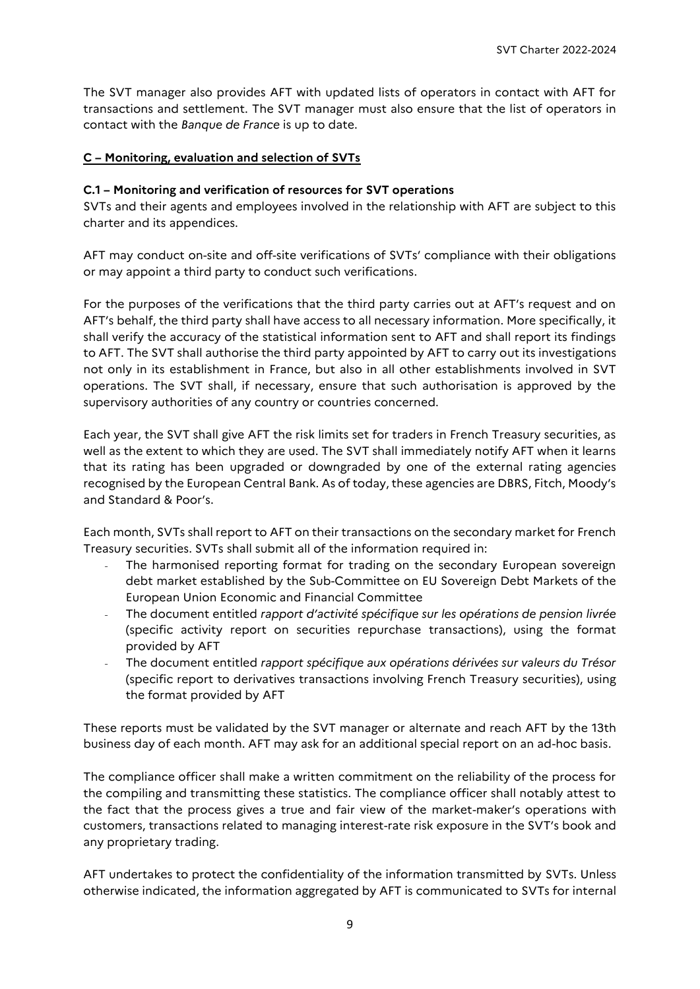The SVT manager also provides AFT with updated lists of operators in contact with AFT for transactions and settlement. The SVT manager must also ensure that the list of operators in contact with the *Banque de France* is up to date.

# <span id="page-8-0"></span>**C – Monitoring, evaluation and selection of SVTs**

### <span id="page-8-1"></span>**C.1 – Monitoring and verification of resources for SVT operations**

SVTs and their agents and employees involved in the relationship with AFT are subject to this charter and its appendices.

AFT may conduct on-site and off-site verifications of SVTs' compliance with their obligations or may appoint a third party to conduct such verifications.

For the purposes of the verifications that the third party carries out at AFT's request and on AFT's behalf, the third party shall have access to all necessary information. More specifically, it shall verify the accuracy of the statistical information sent to AFT and shall report its findings to AFT. The SVT shall authorise the third party appointed by AFT to carry out its investigations not only in its establishment in France, but also in all other establishments involved in SVT operations. The SVT shall, if necessary, ensure that such authorisation is approved by the supervisory authorities of any country or countries concerned.

Each year, the SVT shall give AFT the risk limits set for traders in French Treasury securities, as well as the extent to which they are used. The SVT shall immediately notify AFT when it learns that its rating has been upgraded or downgraded by one of the external rating agencies recognised by the European Central Bank. As of today, these agencies are DBRS, Fitch, Moody's and Standard & Poor's.

Each month, SVTs shall report to AFT on their transactions on the secondary market for French Treasury securities. SVTs shall submit all of the information required in:

- The harmonised reporting format for trading on the secondary European sovereign debt market established by the Sub-Committee on EU Sovereign Debt Markets of the European Union Economic and Financial Committee
- The document entitled *rapport d'activité spécifique sur les opérations de pension livrée* (specific activity report on securities repurchase transactions), using the format provided by AFT
- The document entitled *rapport spécifique aux opérations dérivées sur valeurs du Trésor* (specific report to derivatives transactions involving French Treasury securities), using the format provided by AFT

These reports must be validated by the SVT manager or alternate and reach AFT by the 13th business day of each month. AFT may ask for an additional special report on an ad-hoc basis.

The compliance officer shall make a written commitment on the reliability of the process for the compiling and transmitting these statistics. The compliance officer shall notably attest to the fact that the process gives a true and fair view of the market-maker's operations with customers, transactions related to managing interest-rate risk exposure in the SVT's book and any proprietary trading.

AFT undertakes to protect the confidentiality of the information transmitted by SVTs. Unless otherwise indicated, the information aggregated by AFT is communicated to SVTs for internal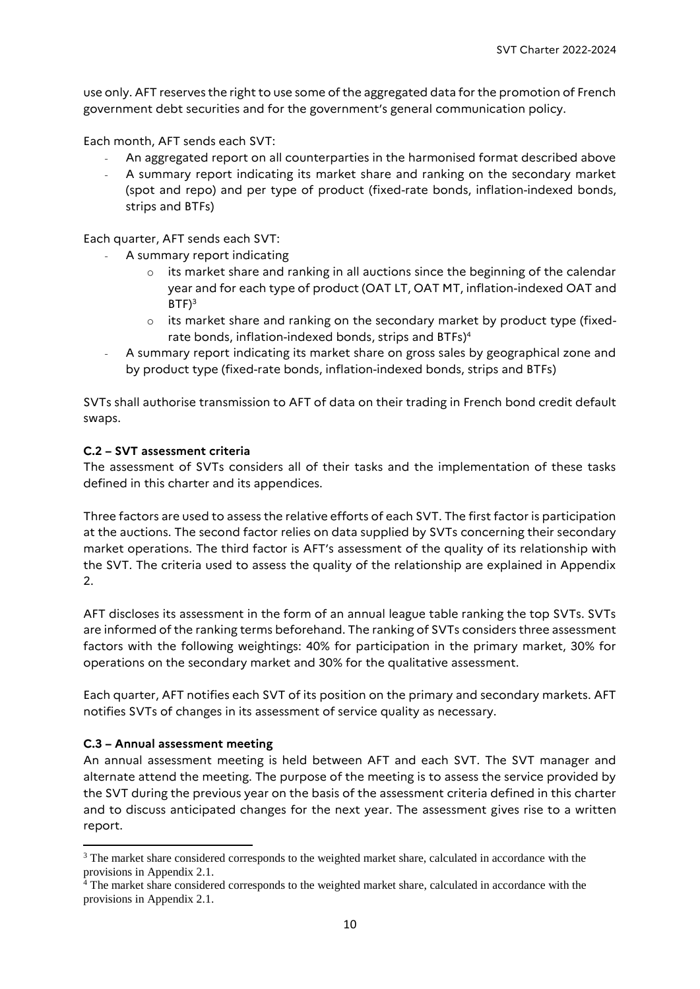use only. AFT reserves the right to use some of the aggregated data for the promotion of French government debt securities and for the government's general communication policy.

Each month, AFT sends each SVT:

- An aggregated report on all counterparties in the harmonised format described above
- A summary report indicating its market share and ranking on the secondary market (spot and repo) and per type of product (fixed-rate bonds, inflation-indexed bonds, strips and BTFs)

Each quarter, AFT sends each SVT:

- A summary report indicating
	- $\circ$  its market share and ranking in all auctions since the beginning of the calendar year and for each type of product (OAT LT, OAT MT, inflation-indexed OAT and  $BTF)^3$
	- o its market share and ranking on the secondary market by product type (fixedrate bonds, inflation-indexed bonds, strips and BTFs) 4
	- A summary report indicating its market share on gross sales by geographical zone and by product type (fixed-rate bonds, inflation-indexed bonds, strips and BTFs)

SVTs shall authorise transmission to AFT of data on their trading in French bond credit default swaps.

#### <span id="page-9-0"></span>**C.2 – SVT assessment criteria**

The assessment of SVTs considers all of their tasks and the implementation of these tasks defined in this charter and its appendices.

Three factors are used to assess the relative efforts of each SVT. The first factor is participation at the auctions. The second factor relies on data supplied by SVTs concerning their secondary market operations. The third factor is AFT's assessment of the quality of its relationship with the SVT. The criteria used to assess the quality of the relationship are explained in Appendix 2.

AFT discloses its assessment in the form of an annual league table ranking the top SVTs. SVTs are informed of the ranking terms beforehand. The ranking of SVTs considers three assessment factors with the following weightings: 40% for participation in the primary market, 30% for operations on the secondary market and 30% for the qualitative assessment.

Each quarter, AFT notifies each SVT of its position on the primary and secondary markets. AFT notifies SVTs of changes in its assessment of service quality as necessary.

#### <span id="page-9-1"></span>**C.3 – Annual assessment meeting**

 $\overline{\phantom{a}}$ 

An annual assessment meeting is held between AFT and each SVT. The SVT manager and alternate attend the meeting. The purpose of the meeting is to assess the service provided by the SVT during the previous year on the basis of the assessment criteria defined in this charter and to discuss anticipated changes for the next year. The assessment gives rise to a written report.

<sup>&</sup>lt;sup>3</sup> The market share considered corresponds to the weighted market share, calculated in accordance with the provisions in Appendix 2.1.

 $4$  The market share considered corresponds to the weighted market share, calculated in accordance with the provisions in Appendix 2.1.